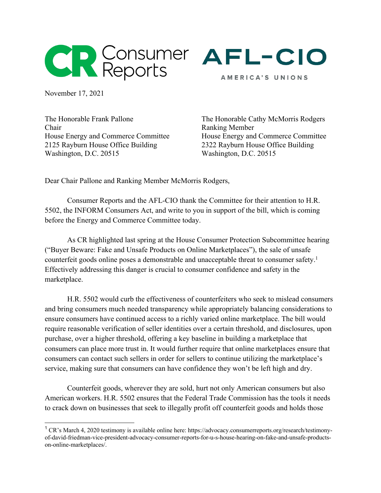



AMERICA'S UNIONS

November 17, 2021

The Honorable Frank Pallone Chair House Energy and Commerce Committee 2125 Rayburn House Office Building Washington, D.C. 20515

The Honorable Cathy McMorris Rodgers Ranking Member House Energy and Commerce Committee 2322 Rayburn House Office Building Washington, D.C. 20515

Dear Chair Pallone and Ranking Member McMorris Rodgers,

Consumer Reports and the AFL-CIO thank the Committee for their attention to H.R. 5502, the INFORM Consumers Act, and write to you in support of the bill, which is coming before the Energy and Commerce Committee today.

As CR highlighted last spring at the House Consumer Protection Subcommittee hearing ("Buyer Beware: Fake and Unsafe Products on Online Marketplaces"), the sale of unsafe counterfeit goods online poses a demonstrable and unacceptable threat to consumer safety.<sup>1</sup> Effectively addressing this danger is crucial to consumer confidence and safety in the marketplace.

H.R. 5502 would curb the effectiveness of counterfeiters who seek to mislead consumers and bring consumers much needed transparency while appropriately balancing considerations to ensure consumers have continued access to a richly varied online marketplace. The bill would require reasonable verification of seller identities over a certain threshold, and disclosures, upon purchase, over a higher threshold, offering a key baseline in building a marketplace that consumers can place more trust in. It would further require that online marketplaces ensure that consumers can contact such sellers in order for sellers to continue utilizing the marketplace's service, making sure that consumers can have confidence they won't be left high and dry.

Counterfeit goods, wherever they are sold, hurt not only American consumers but also American workers. H.R. 5502 ensures that the Federal Trade Commission has the tools it needs to crack down on businesses that seek to illegally profit off counterfeit goods and holds those

 $1 \text{ CR's March } 4, 2020$  testimony is available online here: https://advocacy.consumerreports.org/research/testimonyof-david-friedman-vice-president-advocacy-consumer-reports-for-u-s-house-hearing-on-fake-and-unsafe-productson-online-marketplaces/.